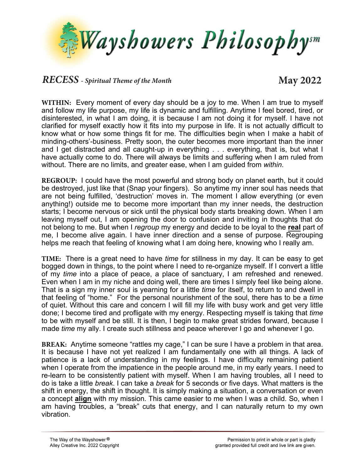

## *RECESS - Spiritual Theme of the Month* **May 2022**

**WITHIN:** Every moment of every day should be a joy to me. When I am true to myself and follow my life purpose, my life is dynamic and fulfilling. Anytime I feel bored, tired, or disinterested, in what I am doing, it is because I am not doing it for myself. I have not clarified for myself exactly how it fits into my purpose in life. It is not actually difficult to know what or how some things fit for me. The difficulties begin when I make a habit of minding-others'-business. Pretty soon, the outer becomes more important than the inner and I get distracted and all caught-up in everything . . . everything, that is, but what I have actually come to do. There will always be limits and suffering when I am ruled from without. There are no limits, and greater ease, when I am guided from *within*.

**REGROUP:** I could have the most powerful and strong body on planet earth, but it could be destroyed, just like that (Snap your fingers). So anytime my inner soul has needs that are not being fulfilled, 'destruction' moves in. The moment I allow everything (or even anything!) outside me to become more important than my inner needs, the destruction starts; I become nervous or sick until the physical body starts breaking down. When I am leaving myself out, I am opening the door to confusion and inviting in thoughts that do not belong to me. But when I *regroup* my energy and decide to be loyal to the **real** part of me, I become alive again. I have inner direction and a sense of purpose. Regrouping helps me reach that feeling of knowing what I am doing here, knowing who I really am.

**TIME:** There is a great need to have *time* for stillness in my day. It can be easy to get bogged down in things, to the point where I need to re-organize myself. If I convert a little of my *time* into a place of peace, a place of sanctuary, I am refreshed and renewed. Even when I am in my niche and doing well, there are times I simply feel like being alone. That is a sign my inner soul is yearning for a little *time* for itself, to return to and dwell in that feeling of "home." For the personal nourishment of the soul, there has to be a *time* of quiet. Without this care and concern I will fill my life with busy work and get very little done; I become tired and profligate with my energy. Respecting myself is taking that *time* to be with myself and be still. It is then, I begin to make great strides forward, because I made *time* my ally. I create such stillness and peace wherever I go and whenever I go.

**BREAK:** Anytime someone "rattles my cage," I can be sure I have a problem in that area. It is because I have not yet realized I am fundamentally one with all things. A lack of patience is a lack of understanding in my feelings. I have difficulty remaining patient when I operate from the impatience in the people around me, in my early years. I need to re-learn to be consistently patient with myself. When I am having troubles, all I need to do is take a little *break*. I can take a *break* for 5 seconds or five days. What matters is the shift in energy, the shift in thought. It is simply making a situation, a conversation or even a concept **align** with my mission. This came easier to me when I was a child. So, when I am having troubles, a "break" cuts that energy, and I can naturally return to my own vibration.